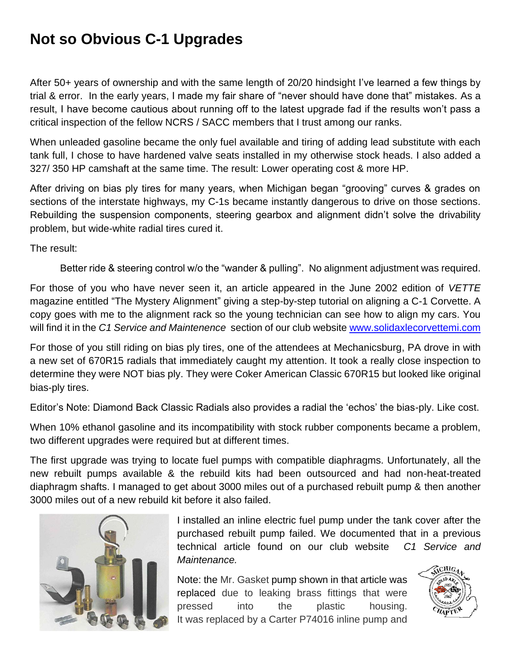## **Not so Obvious C-1 Upgrades**

After 50+ years of ownership and with the same length of 20/20 hindsight I've learned a few things by trial & error. In the early years, I made my fair share of "never should have done that" mistakes. As a result, I have become cautious about running off to the latest upgrade fad if the results won't pass a critical inspection of the fellow NCRS / SACC members that I trust among our ranks.

When unleaded gasoline became the only fuel available and tiring of adding lead substitute with each tank full, I chose to have hardened valve seats installed in my otherwise stock heads. I also added a 327/ 350 HP camshaft at the same time. The result: Lower operating cost & more HP.

After driving on bias ply tires for many years, when Michigan began "grooving" curves & grades on sections of the interstate highways, my C-1s became instantly dangerous to drive on those sections. Rebuilding the suspension components, steering gearbox and alignment didn't solve the drivability problem, but wide-white radial tires cured it.

The result:

Better ride & steering control w/o the "wander & pulling". No alignment adjustment was required.

For those of you who have never seen it, an article appeared in the June 2002 edition of *VETTE* magazine entitled "The Mystery Alignment" giving a step-by-step tutorial on aligning a C-1 Corvette. A copy goes with me to the alignment rack so the young technician can see how to align my cars. You will find it in the *C1 Service and Maintenence* section of our club website [www.solidaxlecorvettemi.com](http://www.solidaxlecorvettemi.com/) 

For those of you still riding on bias ply tires, one of the attendees at Mechanicsburg, PA drove in with a new set of 670R15 radials that immediately caught my attention. It took a really close inspection to determine they were NOT bias ply. They were Coker American Classic 670R15 but looked like original bias-ply tires.

Editor's Note: Diamond Back Classic Radials also provides a radial the 'echos' the bias-ply. Like cost.

When 10% ethanol gasoline and its incompatibility with stock rubber components became a problem, two different upgrades were required but at different times.

The first upgrade was trying to locate fuel pumps with compatible diaphragms. Unfortunately, all the new rebuilt pumps available & the rebuild kits had been outsourced and had non-heat-treated diaphragm shafts. I managed to get about 3000 miles out of a purchased rebuilt pump & then another 3000 miles out of a new rebuild kit before it also failed.



I installed an inline electric fuel pump under the tank cover after the purchased rebuilt pump failed. We documented that in a previous technical article found on our club website *C1 Service and Maintenance.*

Note: the Mr. Gasket pump shown in that article was replaced due to leaking brass fittings that were pressed into the plastic housing. It was replaced by a Carter P74016 inline pump and

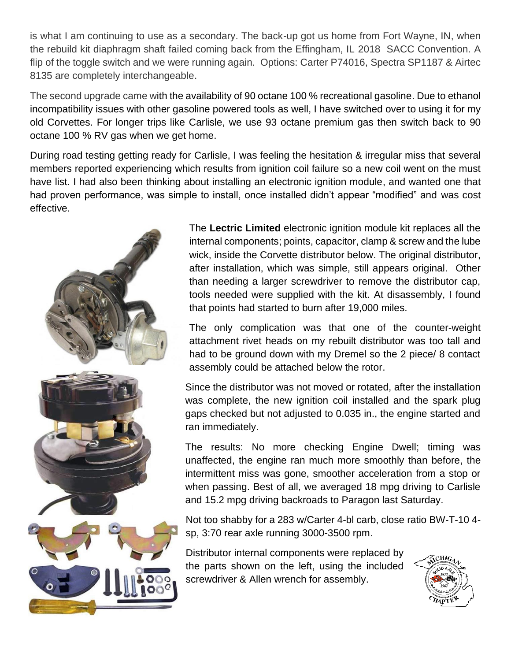is what I am continuing to use as a secondary. The back-up got us home from Fort Wayne, IN, when the rebuild kit diaphragm shaft failed coming back from the Effingham, IL 2018 SACC Convention. A flip of the toggle switch and we were running again. Options: Carter P74016, Spectra SP1187 & Airtec 8135 are completely interchangeable.

The second upgrade came with the availability of 90 octane 100 % recreational gasoline. Due to ethanol incompatibility issues with other gasoline powered tools as well, I have switched over to using it for my old Corvettes. For longer trips like Carlisle, we use 93 octane premium gas then switch back to 90 octane 100 % RV gas when we get home.

During road testing getting ready for Carlisle, I was feeling the hesitation & irregular miss that several members reported experiencing which results from ignition coil failure so a new coil went on the must have list. I had also been thinking about installing an electronic ignition module, and wanted one that had proven performance, was simple to install, once installed didn't appear "modified" and was cost effective.



The **Lectric Limited** electronic ignition module kit replaces all the internal components; points, capacitor, clamp & screw and the lube wick, inside the Corvette distributor below. The original distributor, after installation, which was simple, still appears original. Other than needing a larger screwdriver to remove the distributor cap, tools needed were supplied with the kit. At disassembly, I found that points had started to burn after 19,000 miles.

The only complication was that one of the counter-weight attachment rivet heads on my rebuilt distributor was too tall and had to be ground down with my Dremel so the 2 piece/ 8 contact assembly could be attached below the rotor.

Since the distributor was not moved or rotated, after the installation was complete, the new ignition coil installed and the spark plug gaps checked but not adjusted to 0.035 in., the engine started and ran immediately.

The results: No more checking Engine Dwell; timing was unaffected, the engine ran much more smoothly than before, the intermittent miss was gone, smoother acceleration from a stop or when passing. Best of all, we averaged 18 mpg driving to Carlisle and 15.2 mpg driving backroads to Paragon last Saturday.

Not too shabby for a 283 w/Carter 4-bl carb, close ratio BW-T-10 4 sp, 3:70 rear axle running 3000-3500 rpm.

Distributor internal components were replaced by the parts shown on the left, using the included screwdriver & Allen wrench for assembly.